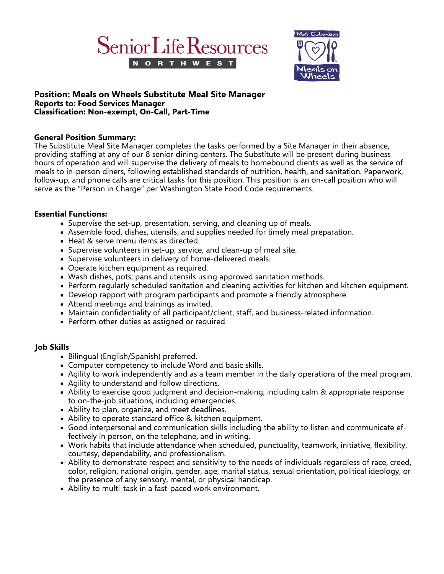



## **Position: Meals on Wheels Substitute Meal Site Manager Reports to: Food Services Manager Classification: Non-exempt, On-Call, Part-Time**

# **General Position Summary:**

The Substitute Meal Site Manager completes the tasks performed by a Site Manager in their absence, providing staffing at any of our 8 senior dining centers. The Substitute will be present during business hours of operation and will supervise the delivery of meals to homebound clients as well as the service of meals to in-person diners, following established standards of nutrition, health, and sanitation. Paperwork, follow-up, and phone calls are critical tasks for this position. This position is an on-call position who will serve as the "Person in Charge" per Washington State Food Code requirements.

## **Essential Functions:**

- Supervise the set-up, presentation, serving, and cleaning up of meals.
- Assemble food, dishes, utensils, and supplies needed for timely meal preparation.
- Heat & serve menu items as directed.
- Supervise volunteers in set-up, service, and clean-up of meal site.
- Supervise volunteers in delivery of home-delivered meals.
- Operate kitchen equipment as required.
- Wash dishes, pots, pans and utensils using approved sanitation methods.
- Perform regularly scheduled sanitation and cleaning activities for kitchen and kitchen equipment.
- Develop rapport with program participants and promote a friendly atmosphere.
- Attend meetings and trainings as invited.
- Maintain confidentiality of all participant/client, staff, and business-related information.
- Perform other duties as assigned or required

# **Job Skills**

- Bilingual (English/Spanish) preferred.
- Computer competency to include Word and basic skills.
- Agility to work independently and as a team member in the daily operations of the meal program.
- Agility to understand and follow directions.
- Ability to exercise good judgment and decision-making, including calm & appropriate response to on-the-job situations, including emergencies.
- Ability to plan, organize, and meet deadlines.
- Ability to operate standard office & kitchen equipment.
- Good interpersonal and communication skills including the ability to listen and communicate effectively in person, on the telephone, and in writing.
- Work habits that include attendance when scheduled, punctuality, teamwork, initiative, flexibility, courtesy, dependability, and professionalism.
- Ability to demonstrate respect and sensitivity to the needs of individuals regardless of race, creed, color, religion, national origin, gender, age, marital status, sexual orientation, political ideology, or the presence of any sensory, mental, or physical handicap.
- Ability to multi-task in a fast-paced work environment.